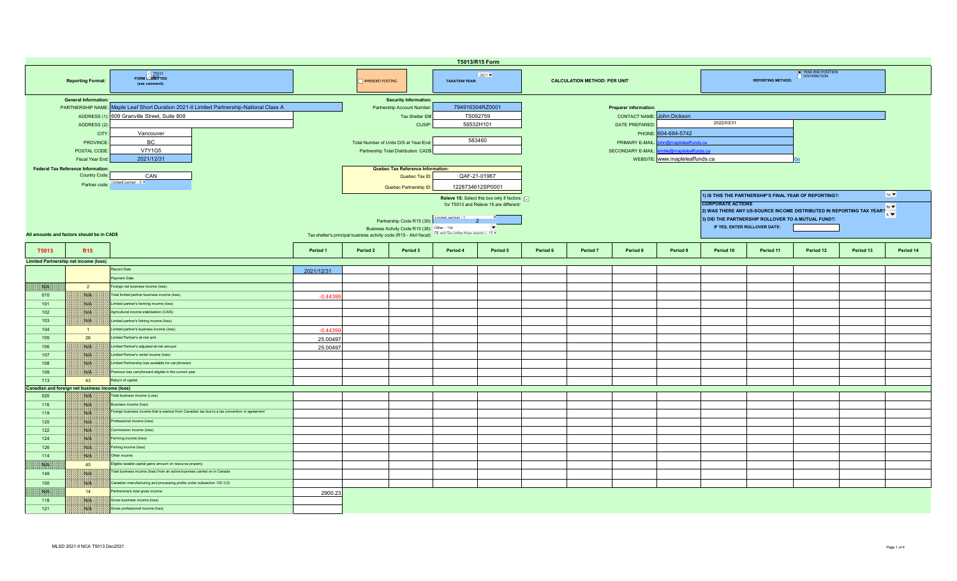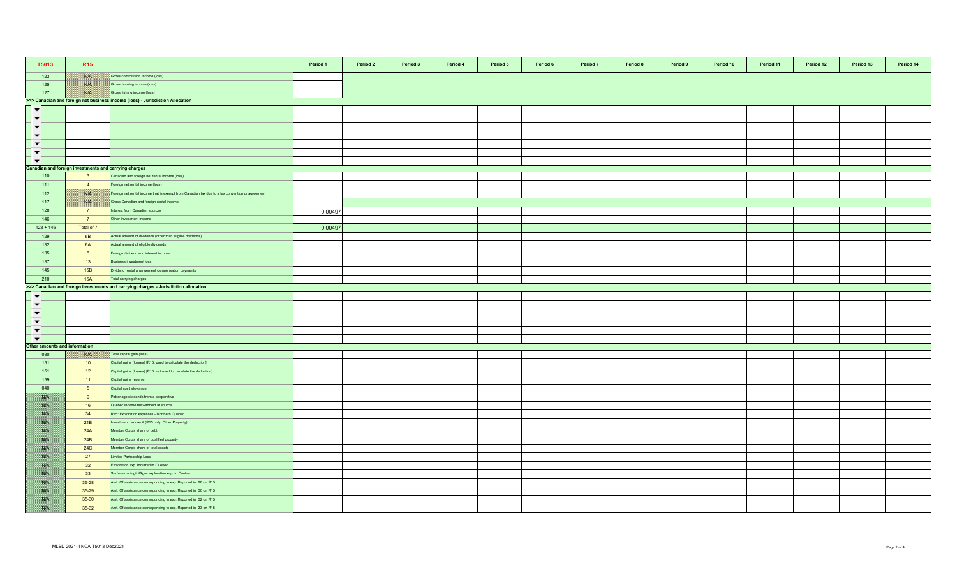| T5013                        | R <sub>15</sub>                                       |                                                                                                 | Period 1 | Period 2 | Period 3 | Period 4 | Period 5 | Period 6 | Period 7 | Period 8 | Period 9 | Period 10 | Period 11 | Period 12 | Period 13 | Period 14 |
|------------------------------|-------------------------------------------------------|-------------------------------------------------------------------------------------------------|----------|----------|----------|----------|----------|----------|----------|----------|----------|-----------|-----------|-----------|-----------|-----------|
| 123                          | W                                                     | Gross commission income (loss)                                                                  |          |          |          |          |          |          |          |          |          |           |           |           |           |           |
| 125                          | <b>NIB</b>                                            | Gross farming income (loss)                                                                     |          |          |          |          |          |          |          |          |          |           |           |           |           |           |
| 127                          | NIA                                                   | Gross fishing income (loss)                                                                     |          |          |          |          |          |          |          |          |          |           |           |           |           |           |
|                              |                                                       | >>> Canadian and foreign net business income (loss) - Jurisdiction Allocation                   |          |          |          |          |          |          |          |          |          |           |           |           |           |           |
| $\blacktriangledown$         |                                                       |                                                                                                 |          |          |          |          |          |          |          |          |          |           |           |           |           |           |
| $\blacktriangledown$         |                                                       |                                                                                                 |          |          |          |          |          |          |          |          |          |           |           |           |           |           |
| $\blacktriangledown$         |                                                       |                                                                                                 |          |          |          |          |          |          |          |          |          |           |           |           |           |           |
| $\blacktriangledown$         |                                                       |                                                                                                 |          |          |          |          |          |          |          |          |          |           |           |           |           |           |
| $\blacktriangledown$         |                                                       |                                                                                                 |          |          |          |          |          |          |          |          |          |           |           |           |           |           |
| $\blacktriangledown$         |                                                       |                                                                                                 |          |          |          |          |          |          |          |          |          |           |           |           |           |           |
| $\blacktriangledown$         |                                                       |                                                                                                 |          |          |          |          |          |          |          |          |          |           |           |           |           |           |
|                              | Canadian and foreign investments and carrying charges |                                                                                                 |          |          |          |          |          |          |          |          |          |           |           |           |           |           |
| 110                          | $\overline{\mathbf{3}}$                               | Canadian and foreign net rental income (loss)                                                   |          |          |          |          |          |          |          |          |          |           |           |           |           |           |
| 111                          | $\overline{4}$                                        | Foreign net rental income (loss)                                                                |          |          |          |          |          |          |          |          |          |           |           |           |           |           |
| 112                          | NA                                                    | Foreign net rental income that is exempt from Canadian tax due to a tax convention or agreement |          |          |          |          |          |          |          |          |          |           |           |           |           |           |
| 117                          | <b>Nie</b>                                            | Gross Canadian and foreign rental income                                                        |          |          |          |          |          |          |          |          |          |           |           |           |           |           |
| 128                          | $\overline{7}$                                        | nterest from Canadian sources                                                                   |          |          |          |          |          |          |          |          |          |           |           |           |           |           |
|                              |                                                       |                                                                                                 | 0.00497  |          |          |          |          |          |          |          |          |           |           |           |           |           |
| 146                          | 7                                                     | Other investment income                                                                         |          |          |          |          |          |          |          |          |          |           |           |           |           |           |
| $128 + 146$                  | Total of 7                                            |                                                                                                 | 0.00497  |          |          |          |          |          |          |          |          |           |           |           |           |           |
| 129                          | 6 <b>B</b>                                            | Actual amount of dividends (other than eligible dividends)                                      |          |          |          |          |          |          |          |          |          |           |           |           |           |           |
| 132                          | 6A                                                    | Actual amount of eligible dividends                                                             |          |          |          |          |          |          |          |          |          |           |           |           |           |           |
| 135                          | 8                                                     | oreign dividend and interest income                                                             |          |          |          |          |          |          |          |          |          |           |           |           |           |           |
| 137                          | 13                                                    | susiness investment loss                                                                        |          |          |          |          |          |          |          |          |          |           |           |           |           |           |
| 145                          | 15B                                                   | Oividend rental arrangement compensation payments                                               |          |          |          |          |          |          |          |          |          |           |           |           |           |           |
| 210                          | <b>15A</b>                                            | Total carrying charges                                                                          |          |          |          |          |          |          |          |          |          |           |           |           |           |           |
|                              |                                                       | >>> Canadian and foreign investments and carrying charges - Jurisdiction allocation             |          |          |          |          |          |          |          |          |          |           |           |           |           |           |
| $\blacktriangledown$         |                                                       |                                                                                                 |          |          |          |          |          |          |          |          |          |           |           |           |           |           |
| $\blacktriangledown$         |                                                       |                                                                                                 |          |          |          |          |          |          |          |          |          |           |           |           |           |           |
| $\overline{\phantom{a}}$     |                                                       |                                                                                                 |          |          |          |          |          |          |          |          |          |           |           |           |           |           |
| $\blacktriangledown$         |                                                       |                                                                                                 |          |          |          |          |          |          |          |          |          |           |           |           |           |           |
| $\overline{\phantom{0}}$     |                                                       |                                                                                                 |          |          |          |          |          |          |          |          |          |           |           |           |           |           |
| $\blacktriangledown$         |                                                       |                                                                                                 |          |          |          |          |          |          |          |          |          |           |           |           |           |           |
| ther amounts and information |                                                       |                                                                                                 |          |          |          |          |          |          |          |          |          |           |           |           |           |           |
| 030                          | NIA                                                   | Total capital gain (loss)                                                                       |          |          |          |          |          |          |          |          |          |           |           |           |           |           |
| 151                          | 10                                                    | Capital gains (losses) [R15: used to calculate the deduction]                                   |          |          |          |          |          |          |          |          |          |           |           |           |           |           |
| 151                          | 12                                                    | Capital gains (losses) [R15: not used to calculate the deduction]                               |          |          |          |          |          |          |          |          |          |           |           |           |           |           |
| 159                          | 11                                                    | Capital gains reserve                                                                           |          |          |          |          |          |          |          |          |          |           |           |           |           |           |
| 040                          | 5 <sub>5</sub>                                        | Capital cost allowance                                                                          |          |          |          |          |          |          |          |          |          |           |           |           |           |           |
| NA                           | 9                                                     | Patronage dividends from a cooperative                                                          |          |          |          |          |          |          |          |          |          |           |           |           |           |           |
| SSB.                         | 16                                                    | Quebec income tax withheld at source                                                            |          |          |          |          |          |          |          |          |          |           |           |           |           |           |
| WB.                          | 34                                                    | R15: Exploration expenses - Northern Quebec                                                     |          |          |          |          |          |          |          |          |          |           |           |           |           |           |
| 水田                           | 21B                                                   | nvestment tax credit (R15 only: Other Property)                                                 |          |          |          |          |          |          |          |          |          |           |           |           |           |           |
| <b>SAFE</b>                  | 24A                                                   | Member Corp's share of debt                                                                     |          |          |          |          |          |          |          |          |          |           |           |           |           |           |
| S.B                          | 24B                                                   | Member Corp's share of qualified property                                                       |          |          |          |          |          |          |          |          |          |           |           |           |           |           |
| <b>SALE</b>                  | <b>24C</b>                                            | Member Corp's share of total assets                                                             |          |          |          |          |          |          |          |          |          |           |           |           |           |           |
| <b>SIE</b>                   | 27                                                    | imited Partnership Loss                                                                         |          |          |          |          |          |          |          |          |          |           |           |           |           |           |
| SVN.                         | 32                                                    | Exploration exp. Incurred in Quebec                                                             |          |          |          |          |          |          |          |          |          |           |           |           |           |           |
| NP                           | 33                                                    | Surface mining/oil&gas exploration exp. in Quebec                                               |          |          |          |          |          |          |          |          |          |           |           |           |           |           |
| NB.                          | $35 - 28$                                             | Amt. Of assistance corresponding to exp. Reported in 28 on R15                                  |          |          |          |          |          |          |          |          |          |           |           |           |           |           |
| Nik                          | 35-29                                                 | Amt. Of assistance corresponding to exp. Reported in 30 on R15                                  |          |          |          |          |          |          |          |          |          |           |           |           |           |           |
| <b>SAFE</b>                  | 35-30                                                 | Amt. Of assistance corresponding to exp. Reported in 32 on R15                                  |          |          |          |          |          |          |          |          |          |           |           |           |           |           |
| SS                           | 35-32                                                 | Amt. Of assistance corresponding to exp. Reported in 33 on R15                                  |          |          |          |          |          |          |          |          |          |           |           |           |           |           |
|                              |                                                       |                                                                                                 |          |          |          |          |          |          |          |          |          |           |           |           |           |           |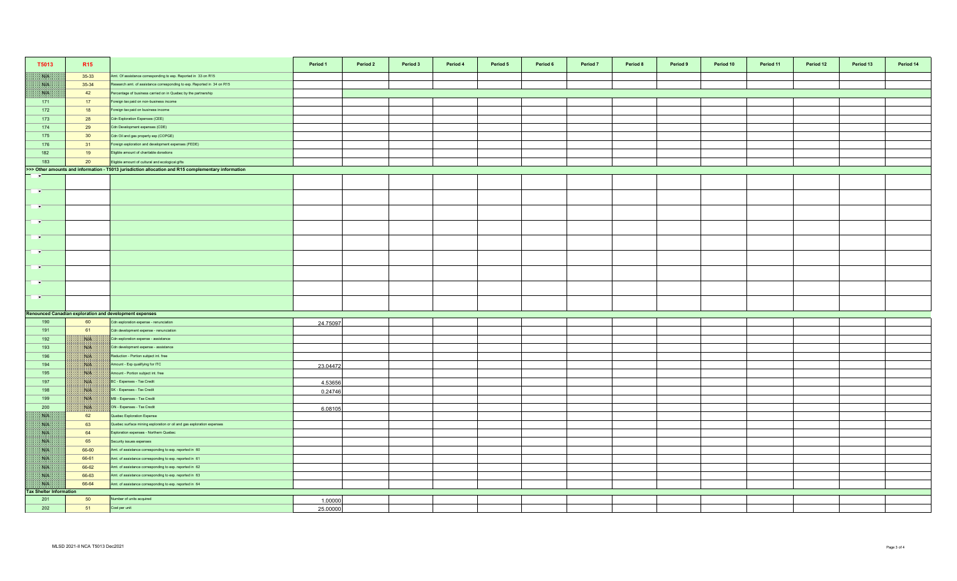| T5013                                                                                                                                | R <sub>15</sub>     |                                                                         | Period 1 | Period 2 | Period 3 | Period 4 | Period 5 | Period 6 | Period 7 | Period 8 | Period 9 | Period 10 | Period 11 | Period 12 | Period 13 | Period 14 |
|--------------------------------------------------------------------------------------------------------------------------------------|---------------------|-------------------------------------------------------------------------|----------|----------|----------|----------|----------|----------|----------|----------|----------|-----------|-----------|-----------|-----------|-----------|
| <b>SUN</b>                                                                                                                           | 35-33               | Amt. Of assistance corresponding to exp. Reported in 33 on R15          |          |          |          |          |          |          |          |          |          |           |           |           |           |           |
| W                                                                                                                                    | 35-34               | Research amt. of assistance corresponding to exp. Reported in 34 on R15 |          |          |          |          |          |          |          |          |          |           |           |           |           |           |
| <b>SSLEE</b>                                                                                                                         | 42                  | Percentage of business carried on in Quebec by the partnership          |          |          |          |          |          |          |          |          |          |           |           |           |           |           |
| 171                                                                                                                                  | 17                  | Foreign tax paid on non-business income                                 |          |          |          |          |          |          |          |          |          |           |           |           |           |           |
| 172                                                                                                                                  | 18                  | oreign tax paid on business income                                      |          |          |          |          |          |          |          |          |          |           |           |           |           |           |
| 173                                                                                                                                  | 28                  | Cdn Exploration Expenses (CEE)                                          |          |          |          |          |          |          |          |          |          |           |           |           |           |           |
| 174                                                                                                                                  | 29                  | Cdn Development expenses (CDE)                                          |          |          |          |          |          |          |          |          |          |           |           |           |           |           |
| 175                                                                                                                                  | 30                  | Cdn Oil and gas property exp (COPGE)                                    |          |          |          |          |          |          |          |          |          |           |           |           |           |           |
| 176                                                                                                                                  | 31                  | Foreign exploration and development expenses (FEDE)                     |          |          |          |          |          |          |          |          |          |           |           |           |           |           |
| 182                                                                                                                                  | 19                  | Eligible amount of charitable donations                                 |          |          |          |          |          |          |          |          |          |           |           |           |           |           |
| 183                                                                                                                                  | 20                  | Eligible amount of cultural and ecological gifts                        |          |          |          |          |          |          |          |          |          |           |           |           |           |           |
| >>> Other amounts and information - T5013 jurisdiction allocation and R15 complementary information<br>Н<br>$\overline{\phantom{a}}$ |                     |                                                                         |          |          |          |          |          |          |          |          |          |           |           |           |           |           |
|                                                                                                                                      |                     |                                                                         |          |          |          |          |          |          |          |          |          |           |           |           |           |           |
| <b>THE ST</b>                                                                                                                        |                     |                                                                         |          |          |          |          |          |          |          |          |          |           |           |           |           |           |
| <b>TIME</b>                                                                                                                          |                     |                                                                         |          |          |          |          |          |          |          |          |          |           |           |           |           |           |
| <b>TIME</b>                                                                                                                          |                     |                                                                         |          |          |          |          |          |          |          |          |          |           |           |           |           |           |
| $\blacksquare$                                                                                                                       |                     |                                                                         |          |          |          |          |          |          |          |          |          |           |           |           |           |           |
| $\blacksquare$                                                                                                                       |                     |                                                                         |          |          |          |          |          |          |          |          |          |           |           |           |           |           |
| <b>PARTS</b>                                                                                                                         |                     |                                                                         |          |          |          |          |          |          |          |          |          |           |           |           |           |           |
| <b>TIME</b>                                                                                                                          |                     |                                                                         |          |          |          |          |          |          |          |          |          |           |           |           |           |           |
| <b>Contract</b>                                                                                                                      |                     |                                                                         |          |          |          |          |          |          |          |          |          |           |           |           |           |           |
|                                                                                                                                      |                     |                                                                         |          |          |          |          |          |          |          |          |          |           |           |           |           |           |
|                                                                                                                                      |                     | Renounced Canadian exploration and development expenses                 |          |          |          |          |          |          |          |          |          |           |           |           |           |           |
| 190                                                                                                                                  | 60                  | Cdn exploration expense - renunciation                                  | 24.75097 |          |          |          |          |          |          |          |          |           |           |           |           |           |
| 191                                                                                                                                  | 61                  | Cdn development expense - renunciation                                  |          |          |          |          |          |          |          |          |          |           |           |           |           |           |
| 192                                                                                                                                  | ma                  | Cdn exploration expense - assistance                                    |          |          |          |          |          |          |          |          |          |           |           |           |           |           |
| 193                                                                                                                                  | NG                  | Cdn development expense - assistance                                    |          |          |          |          |          |          |          |          |          |           |           |           |           |           |
| 196                                                                                                                                  | <b>NIP</b>          | Reduction - Portion subject int. free                                   |          |          |          |          |          |          |          |          |          |           |           |           |           |           |
| 194                                                                                                                                  | <b>Sille</b><br>NIK | Amount - Exp qualifying for ITC<br>Amount - Portion subject int. free   | 23.04472 |          |          |          |          |          |          |          |          |           |           |           |           |           |
| 195<br>197                                                                                                                           | NIK                 | BC - Expenses - Tax Credit                                              |          |          |          |          |          |          |          |          |          |           |           |           |           |           |
| 198                                                                                                                                  | NIA                 | SK - Expenses - Tax Credit                                              | 4.53656  |          |          |          |          |          |          |          |          |           |           |           |           |           |
| 199                                                                                                                                  |                     | MB - Expenses - Tax Credit                                              | 0.24746  |          |          |          |          |          |          |          |          |           |           |           |           |           |
| 200                                                                                                                                  | <b>SALE</b>         | ON - Expenses - Tax Credit                                              |          |          |          |          |          |          |          |          |          |           |           |           |           |           |
| <b>ASUPE</b>                                                                                                                         | 62                  | Quebec Exploration Expense                                              | 6.08105  |          |          |          |          |          |          |          |          |           |           |           |           |           |
| NB                                                                                                                                   | 63                  | Quebec surface mining exploration or oil and gas exploration expenses   |          |          |          |          |          |          |          |          |          |           |           |           |           |           |
| <b>SSIE</b>                                                                                                                          | 64                  | Exploration expenses - Northern Quebec                                  |          |          |          |          |          |          |          |          |          |           |           |           |           |           |
| NB.                                                                                                                                  | 65                  | Security issues expenses                                                |          |          |          |          |          |          |          |          |          |           |           |           |           |           |
| NB                                                                                                                                   | 66-60               | Amt. of assistance corresponding to exp. reported in 60                 |          |          |          |          |          |          |          |          |          |           |           |           |           |           |
| <b>STAR</b>                                                                                                                          | 66-61               | Amt. of assistance corresponding to exp. reported in 61                 |          |          |          |          |          |          |          |          |          |           |           |           |           |           |
| N                                                                                                                                    | 66-62               | Amt. of assistance corresponding to exp. reported in 62                 |          |          |          |          |          |          |          |          |          |           |           |           |           |           |
| NB                                                                                                                                   | 66-63               | Amt. of assistance corresponding to exp. reported in 63                 |          |          |          |          |          |          |          |          |          |           |           |           |           |           |
| WE                                                                                                                                   | 66-64               | Amt. of assistance corresponding to exp. reported in 64                 |          |          |          |          |          |          |          |          |          |           |           |           |           |           |
| <b>Tax Shelter Information</b>                                                                                                       |                     |                                                                         |          |          |          |          |          |          |          |          |          |           |           |           |           |           |
| 201                                                                                                                                  | 50                  | Number of units acquired                                                | 1.00000  |          |          |          |          |          |          |          |          |           |           |           |           |           |
| 202                                                                                                                                  | 51                  | Cost per unit                                                           | 25.00000 |          |          |          |          |          |          |          |          |           |           |           |           |           |